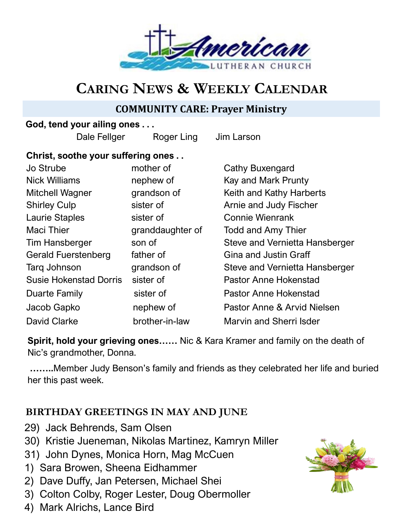

# **CARING NEWS & WEEKLY CALENDAR**

## **COMMUNITY CARE: Prayer Ministry**

#### **God, tend your ailing ones . . .**

Dale Fellger Roger Ling Jim Larson

### **Christ, soothe your suffering ones . .**

| Jo Strube                     | mother of        | Cathy Buxengard                |
|-------------------------------|------------------|--------------------------------|
| <b>Nick Williams</b>          | nephew of        | Kay and Mark Prunty            |
| <b>Mitchell Wagner</b>        | grandson of      | Keith and Kathy Harberts       |
| <b>Shirley Culp</b>           | sister of        | Arnie and Judy Fischer         |
| <b>Laurie Staples</b>         | sister of        | <b>Connie Wienrank</b>         |
| <b>Maci Thier</b>             | granddaughter of | <b>Todd and Amy Thier</b>      |
| <b>Tim Hansberger</b>         | son of           | Steve and Vernietta Hansberger |
| <b>Gerald Fuerstenberg</b>    | father of        | <b>Gina and Justin Graff</b>   |
| Tarq Johnson                  | grandson of      | Steve and Vernietta Hansberger |
| <b>Susie Hokenstad Dorris</b> | sister of        | <b>Pastor Anne Hokenstad</b>   |
| Duarte Family                 | sister of        | <b>Pastor Anne Hokenstad</b>   |
| Jacob Gapko                   | nephew of        | Pastor Anne & Arvid Nielsen    |
| <b>David Clarke</b>           | brother-in-law   | Marvin and Sherri Isder        |

**Spirit, hold your grieving ones……** Nic & Kara Kramer and family on the death of Nic's grandmother, Donna.

**……..**Member Judy Benson's family and friends as they celebrated her life and buried her this past week.

## **BIRTHDAY GREETINGS IN MAY AND JUNE**

- 29) Jack Behrends, Sam Olsen
- 30) Kristie Jueneman, Nikolas Martinez, Kamryn Miller
- 31) John Dynes, Monica Horn, Mag McCuen
- 1) Sara Browen, Sheena Eidhammer
- 2) Dave Duffy, Jan Petersen, Michael Shei
- 3) Colton Colby, Roger Lester, Doug Obermoller
- 4) Mark Alrichs, Lance Bird